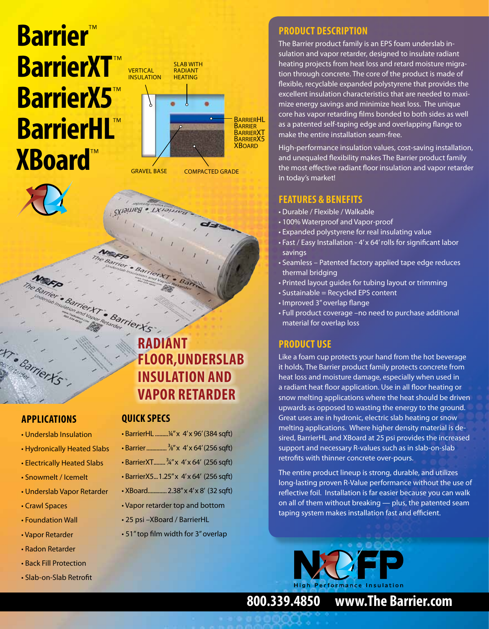# **Barrier**™ **BarrierXT** ™ **BarrierX5**™ **BarrierHL** ™ **XBoard**™



#### **applications**

- Underslab Insulation
- Hydronically Heated Slabs
- Electrically Heated Slabs
- Snowmelt / Icemelt
- Underslab Vapor Retarder
- Crawl Spaces
- Foundation Wall
- Vapor Retarder
- Radon Retarder
- Back Fill Protection
- Slab-on-Slab Retrofit

## Barrier Ys **Radiant Floor,Underslab Insulation and Vapor Retarder**

#### **quick specs**

**СХТЭГЛЬВ БАГИЕГХ** 

- BarrierHL ........... 1/4" x 4' x 96' (384 sqft)
- Barrier.............. 3⁄8" x 4' x 64' (256 sqft)
- BarrierXT........3⁄4" x 4' x 64' (256 sqft)
- BarrierX5...1.25" x 4' x 64' (256 sqft)
- XBoard.............2.38" x 4' x 8' (32 sqft)
- Vapor retarder top and bottom
- 25 psi –XBoard / BarrierHL
- 51" top film width for 3" overlap

#### **Product Description**

The Barrier product family is an EPS foam underslab insulation and vapor retarder, designed to insulate radiant heating projects from heat loss and retard moisture migration through concrete. The core of the product is made of flexible, recyclable expanded polystyrene that provides the excellent insulation characteristics that are needed to maximize energy savings and minimize heat loss. The unique core has vapor retarding films bonded to both sides as well as a patented self-taping edge and overlapping flange to make the entire installation seam-free.

High-performance insulation values, cost-saving installation, and unequaled flexibility makes The Barrier product family the most effective radiant floor insulation and vapor retarder in today's market!

#### **Features & Benefits**

- Durable / Flexible / Walkable
- 100% Waterproof and Vapor-proof
- Expanded polystyrene for real insulating value
- Fast / Easy Installation 4' x 64' rolls for significant labor savings
- Seamless Patented factory applied tape edge reduces thermal bridging
- Printed layout guides for tubing layout or trimming
- Sustainable = Recycled EPS content
- Improved 3" overlap flange
- Full product coverage –no need to purchase additional material for overlap loss

#### **Product Use**

Like a foam cup protects your hand from the hot beverage it holds, The Barrier product family protects concrete from heat loss and moisture damage, especially when used in a radiant heat floor application. Use in all floor heating or snow melting applications where the heat should be driven upwards as opposed to wasting the energy to the ground. Great uses are in hydronic, electric slab heating or snow melting applications. Where higher density material is desired, BarrierHL and XBoard at 25 psi provides the increased support and necessary R-values such as in slab-on-slab retrofits with thinner concrete over-pours.

The entire product lineup is strong, durable, and utilizes long-lasting proven R-Value performance without the use of reflective foil. Installation is far easier because you can walk on all of them without breaking — plus, the patented seam taping system makes installation fast and efficient.



**800.339.4850 www.The Barrier.com**